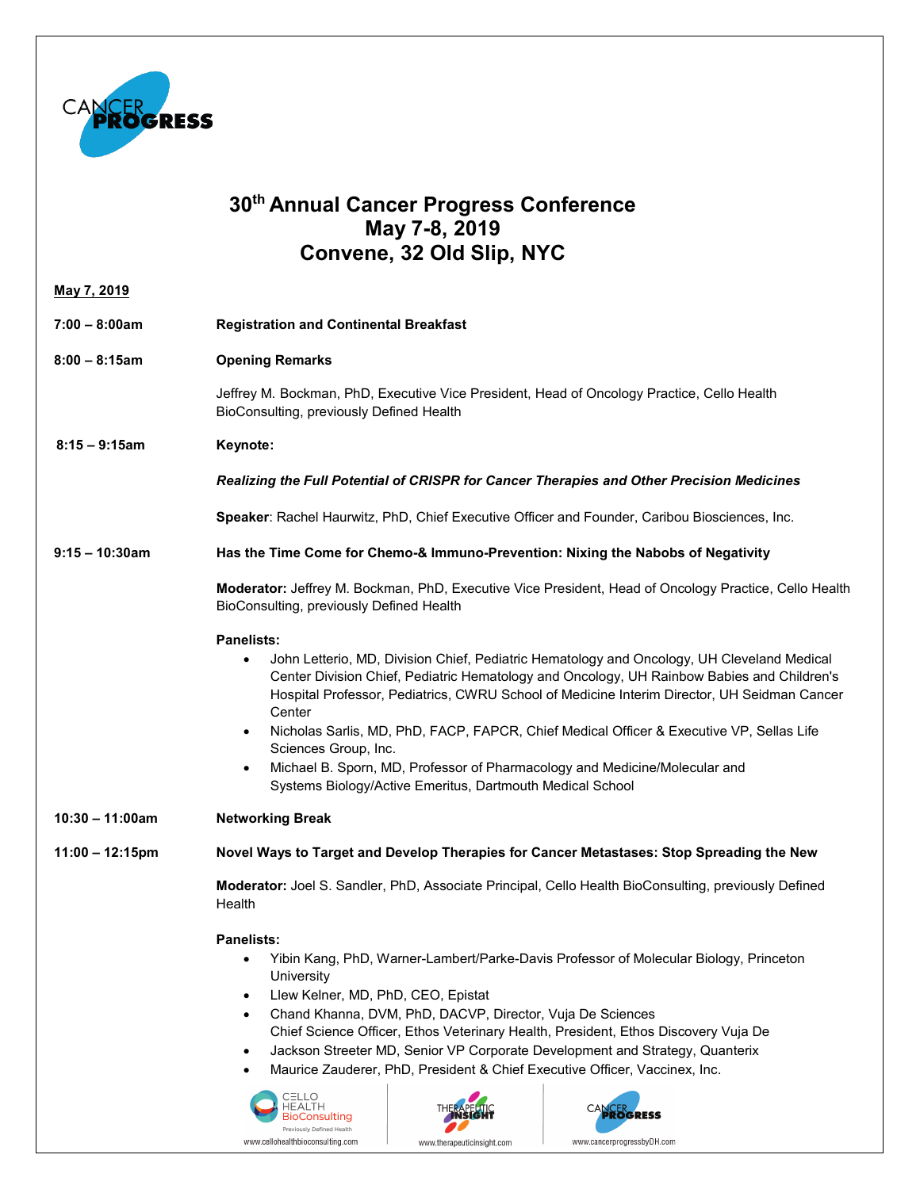

## **30th Annual Cancer Progress Conference May 7-8, 2019 Convene, 32 Old Slip, NYC**

| <u>May 7, 2019</u> |                                                                                                                                                                                                                                                                                                                                                                                                                                                                                                                                                                                                                              |
|--------------------|------------------------------------------------------------------------------------------------------------------------------------------------------------------------------------------------------------------------------------------------------------------------------------------------------------------------------------------------------------------------------------------------------------------------------------------------------------------------------------------------------------------------------------------------------------------------------------------------------------------------------|
| $7:00 - 8:00am$    | <b>Registration and Continental Breakfast</b>                                                                                                                                                                                                                                                                                                                                                                                                                                                                                                                                                                                |
| $8:00 - 8:15am$    | <b>Opening Remarks</b>                                                                                                                                                                                                                                                                                                                                                                                                                                                                                                                                                                                                       |
|                    | Jeffrey M. Bockman, PhD, Executive Vice President, Head of Oncology Practice, Cello Health<br>BioConsulting, previously Defined Health                                                                                                                                                                                                                                                                                                                                                                                                                                                                                       |
| $8:15 - 9:15$ am   | Keynote:                                                                                                                                                                                                                                                                                                                                                                                                                                                                                                                                                                                                                     |
|                    | Realizing the Full Potential of CRISPR for Cancer Therapies and Other Precision Medicines                                                                                                                                                                                                                                                                                                                                                                                                                                                                                                                                    |
|                    | Speaker: Rachel Haurwitz, PhD, Chief Executive Officer and Founder, Caribou Biosciences, Inc.                                                                                                                                                                                                                                                                                                                                                                                                                                                                                                                                |
| $9:15 - 10:30$ am  | Has the Time Come for Chemo-& Immuno-Prevention: Nixing the Nabobs of Negativity                                                                                                                                                                                                                                                                                                                                                                                                                                                                                                                                             |
|                    | Moderator: Jeffrey M. Bockman, PhD, Executive Vice President, Head of Oncology Practice, Cello Health<br>BioConsulting, previously Defined Health                                                                                                                                                                                                                                                                                                                                                                                                                                                                            |
|                    | <b>Panelists:</b><br>John Letterio, MD, Division Chief, Pediatric Hematology and Oncology, UH Cleveland Medical<br>$\bullet$<br>Center Division Chief, Pediatric Hematology and Oncology, UH Rainbow Babies and Children's<br>Hospital Professor, Pediatrics, CWRU School of Medicine Interim Director, UH Seidman Cancer<br>Center<br>Nicholas Sarlis, MD, PhD, FACP, FAPCR, Chief Medical Officer & Executive VP, Sellas Life<br>$\bullet$<br>Sciences Group, Inc.<br>Michael B. Sporn, MD, Professor of Pharmacology and Medicine/Molecular and<br>$\bullet$<br>Systems Biology/Active Emeritus, Dartmouth Medical School |
| $10:30 - 11:00am$  | <b>Networking Break</b>                                                                                                                                                                                                                                                                                                                                                                                                                                                                                                                                                                                                      |
| $11:00 - 12:15$ pm | Novel Ways to Target and Develop Therapies for Cancer Metastases: Stop Spreading the New                                                                                                                                                                                                                                                                                                                                                                                                                                                                                                                                     |
|                    | Moderator: Joel S. Sandler, PhD, Associate Principal, Cello Health BioConsulting, previously Defined<br>Health                                                                                                                                                                                                                                                                                                                                                                                                                                                                                                               |
|                    | <b>Panelists:</b><br>Yibin Kang, PhD, Warner-Lambert/Parke-Davis Professor of Molecular Biology, Princeton<br>$\bullet$<br>University<br>Llew Kelner, MD, PhD, CEO, Epistat<br>$\bullet$<br>Chand Khanna, DVM, PhD, DACVP, Director, Vuja De Sciences<br>$\bullet$<br>Chief Science Officer, Ethos Veterinary Health, President, Ethos Discovery Vuja De<br>Jackson Streeter MD, Senior VP Corporate Development and Strategy, Quanterix<br>$\bullet$<br>Maurice Zauderer, PhD, President & Chief Executive Officer, Vaccinex, Inc.<br>CELLO<br>HEALTH<br>CANCERSS<br>BioConsulting<br>Previously Defined Health             |

www.therapeuticinsight.com

www.cancerprogressbyDH.com

www.cellohealthbioconsulting.com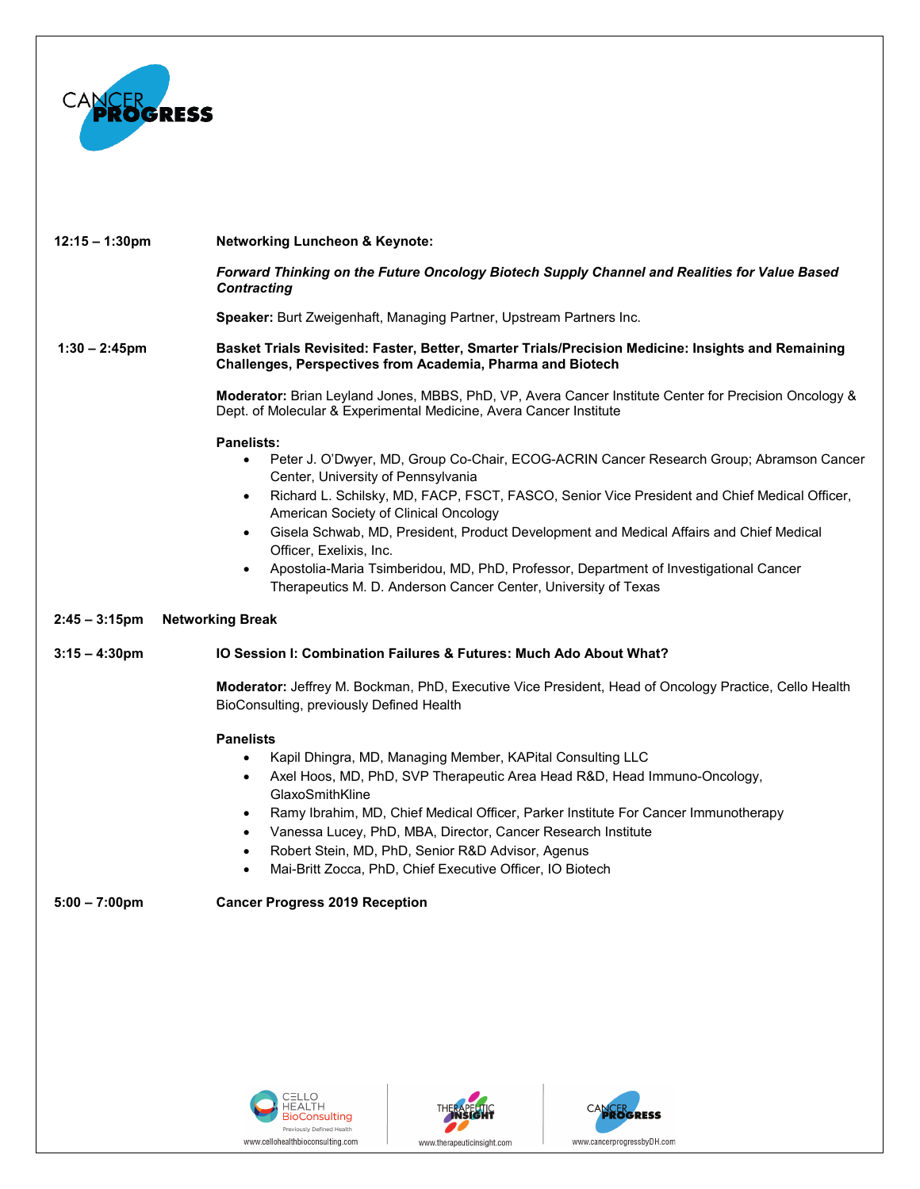

| $12:15 - 1:30 \text{pm}$ | <b>Networking Luncheon &amp; Keynote:</b>                                                                                                                                                                                                                                                                                                                                                                                                                                                                                                                                                                           |
|--------------------------|---------------------------------------------------------------------------------------------------------------------------------------------------------------------------------------------------------------------------------------------------------------------------------------------------------------------------------------------------------------------------------------------------------------------------------------------------------------------------------------------------------------------------------------------------------------------------------------------------------------------|
|                          | Forward Thinking on the Future Oncology Biotech Supply Channel and Realities for Value Based<br><b>Contracting</b>                                                                                                                                                                                                                                                                                                                                                                                                                                                                                                  |
|                          | <b>Speaker:</b> Burt Zweigenhaft, Managing Partner, Upstream Partners Inc.                                                                                                                                                                                                                                                                                                                                                                                                                                                                                                                                          |
| $1:30 - 2:45$ pm         | Basket Trials Revisited: Faster, Better, Smarter Trials/Precision Medicine: Insights and Remaining<br>Challenges, Perspectives from Academia, Pharma and Biotech                                                                                                                                                                                                                                                                                                                                                                                                                                                    |
|                          | Moderator: Brian Leyland Jones, MBBS, PhD, VP, Avera Cancer Institute Center for Precision Oncology &<br>Dept. of Molecular & Experimental Medicine, Avera Cancer Institute                                                                                                                                                                                                                                                                                                                                                                                                                                         |
|                          | <b>Panelists:</b><br>Peter J. O'Dwyer, MD, Group Co-Chair, ECOG-ACRIN Cancer Research Group; Abramson Cancer<br>Center, University of Pennsylvania<br>Richard L. Schilsky, MD, FACP, FSCT, FASCO, Senior Vice President and Chief Medical Officer,<br>$\bullet$<br>American Society of Clinical Oncology<br>Gisela Schwab, MD, President, Product Development and Medical Affairs and Chief Medical<br>$\bullet$<br>Officer, Exelixis, Inc.<br>Apostolia-Maria Tsimberidou, MD, PhD, Professor, Department of Investigational Cancer<br>$\bullet$<br>Therapeutics M. D. Anderson Cancer Center, University of Texas |
| $2:45 - 3:15$ pm         | <b>Networking Break</b>                                                                                                                                                                                                                                                                                                                                                                                                                                                                                                                                                                                             |
| $3:15 - 4:30$ pm         | IO Session I: Combination Failures & Futures: Much Ado About What?                                                                                                                                                                                                                                                                                                                                                                                                                                                                                                                                                  |
|                          | Moderator: Jeffrey M. Bockman, PhD, Executive Vice President, Head of Oncology Practice, Cello Health<br>BioConsulting, previously Defined Health                                                                                                                                                                                                                                                                                                                                                                                                                                                                   |
|                          | <b>Panelists</b>                                                                                                                                                                                                                                                                                                                                                                                                                                                                                                                                                                                                    |
|                          | Kapil Dhingra, MD, Managing Member, KAPital Consulting LLC<br>$\bullet$                                                                                                                                                                                                                                                                                                                                                                                                                                                                                                                                             |
|                          | Axel Hoos, MD, PhD, SVP Therapeutic Area Head R&D, Head Immuno-Oncology,<br>$\bullet$<br>GlaxoSmithKline                                                                                                                                                                                                                                                                                                                                                                                                                                                                                                            |
|                          | Ramy Ibrahim, MD, Chief Medical Officer, Parker Institute For Cancer Immunotherapy<br>$\bullet$                                                                                                                                                                                                                                                                                                                                                                                                                                                                                                                     |
|                          | Vanessa Lucey, PhD, MBA, Director, Cancer Research Institute<br>$\bullet$                                                                                                                                                                                                                                                                                                                                                                                                                                                                                                                                           |
|                          | Robert Stein, MD, PhD, Senior R&D Advisor, Agenus<br>$\bullet$                                                                                                                                                                                                                                                                                                                                                                                                                                                                                                                                                      |
|                          | Mai-Britt Zocca, PhD, Chief Executive Officer, IO Biotech<br>$\bullet$                                                                                                                                                                                                                                                                                                                                                                                                                                                                                                                                              |
| $5:00 - 7:00 \text{pm}$  | <b>Cancer Progress 2019 Reception</b>                                                                                                                                                                                                                                                                                                                                                                                                                                                                                                                                                                               |
|                          |                                                                                                                                                                                                                                                                                                                                                                                                                                                                                                                                                                                                                     |
|                          |                                                                                                                                                                                                                                                                                                                                                                                                                                                                                                                                                                                                                     |
|                          |                                                                                                                                                                                                                                                                                                                                                                                                                                                                                                                                                                                                                     |
|                          |                                                                                                                                                                                                                                                                                                                                                                                                                                                                                                                                                                                                                     |
|                          |                                                                                                                                                                                                                                                                                                                                                                                                                                                                                                                                                                                                                     |
|                          |                                                                                                                                                                                                                                                                                                                                                                                                                                                                                                                                                                                                                     |
|                          |                                                                                                                                                                                                                                                                                                                                                                                                                                                                                                                                                                                                                     |





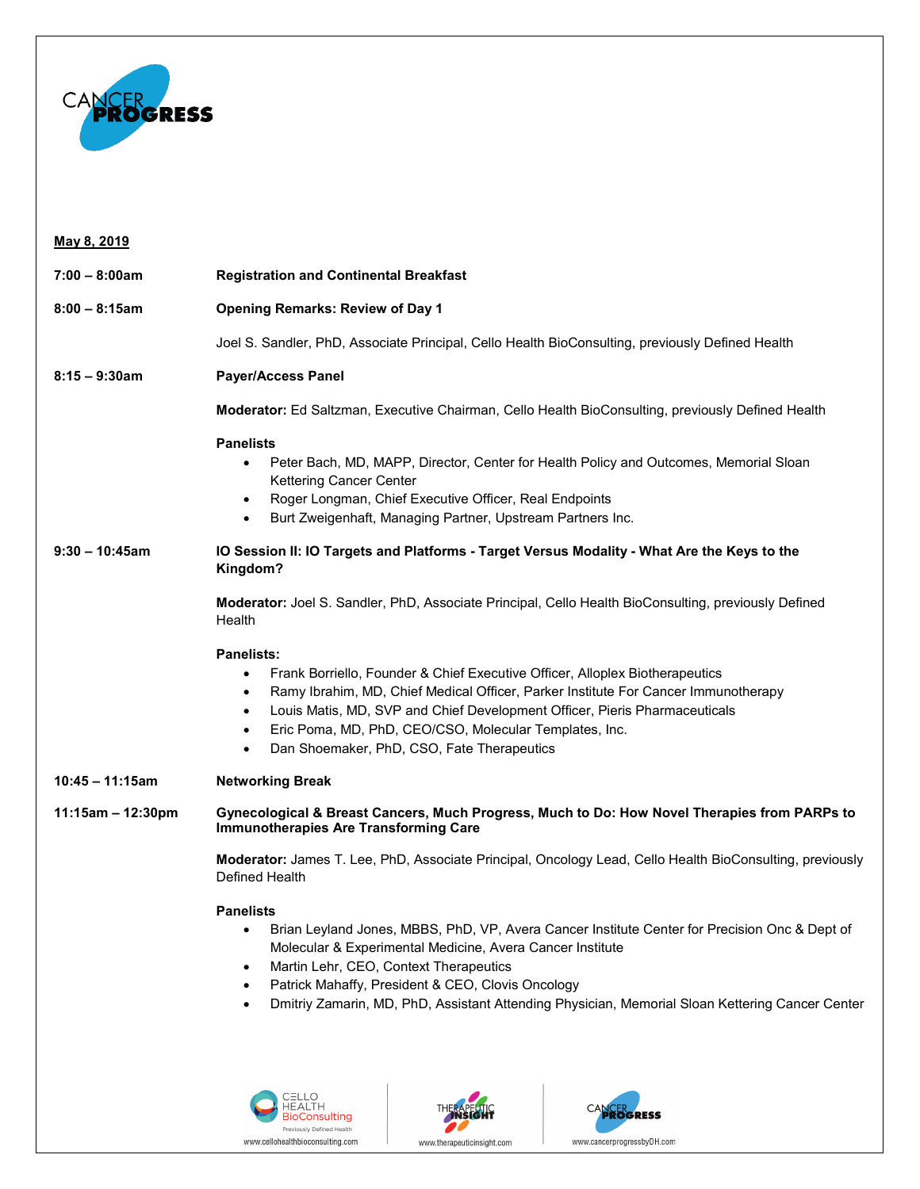

## **May 8, 2019 7:00 – 8:00am Registration and Continental Breakfast 8:00 – 8:15am Opening Remarks: Review of Day 1** Joel S. Sandler, PhD, Associate Principal, Cello Health BioConsulting, previously Defined Health **8:15 – 9:30am Payer/Access Panel Moderator:** Ed Saltzman, Executive Chairman, Cello Health BioConsulting, previously Defined Health **Panelists** • Peter Bach, MD, MAPP, Director, Center for Health Policy and Outcomes, Memorial Sloan Kettering Cancer Center • Roger Longman, Chief Executive Officer, Real Endpoints • Burt Zweigenhaft, Managing Partner, Upstream Partners Inc. **9:30 – 10:45am IO Session II: IO Targets and Platforms - Target Versus Modality - What Are the Keys to the Kingdom? Moderator:** Joel S. Sandler, PhD, Associate Principal, Cello Health BioConsulting, previously Defined **Health Panelists:** • Frank Borriello, Founder & Chief Executive Officer, Alloplex Biotherapeutics • Ramy Ibrahim, MD, Chief Medical Officer, Parker Institute For Cancer Immunotherapy • Louis Matis, MD, SVP and Chief Development Officer, Pieris Pharmaceuticals • Eric Poma, MD, PhD, CEO/CSO, Molecular Templates, Inc. • Dan Shoemaker, PhD, CSO, Fate Therapeutics **10:45 – 11:15am Networking Break 11:15am – 12:30pm Gynecological & Breast Cancers, Much Progress, Much to Do: How Novel Therapies from PARPs to Immunotherapies Are Transforming Care Moderator:** James T. Lee, PhD, Associate Principal, Oncology Lead, Cello Health BioConsulting, previously Defined Health **Panelists** • Brian Leyland Jones, MBBS, PhD, VP, Avera Cancer Institute Center for Precision Onc & Dept of Molecular & Experimental Medicine, Avera Cancer Institute • Martin Lehr, CEO, Context Therapeutics Patrick Mahaffy, President & CEO, Clovis Oncology • Dmitriy Zamarin, MD, PhD, Assistant Attending Physician, Memorial Sloan Kettering Cancer Center